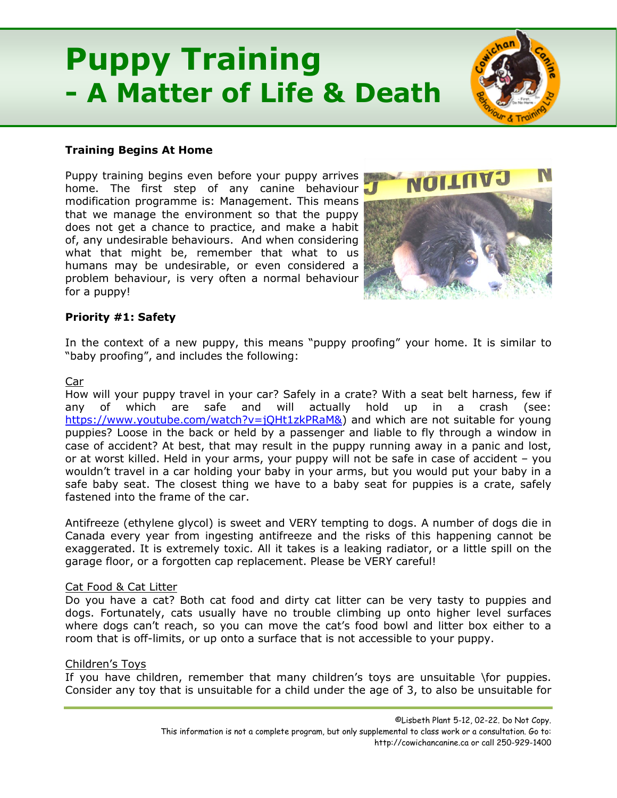# **Puppy Training - A Matter of Life & Death**



Puppy training begins even before your puppy arrives home. The first step of any canine behaviour modification programme is: Management. This means that we manage the environment so that the puppy does not get a chance to practice, and make a habit of, any undesirable behaviours. And when considering what that might be, remember that what to us humans may be undesirable, or even considered a problem behaviour, is very often a normal behaviour for a puppy!



# **Priority #1: Safety**

In the context of a new puppy, this means "puppy proofing" your home. It is similar to "baby proofing", and includes the following:

## Car

How will your puppy travel in your car? Safely in a crate? With a seat belt harness, few if any of which are safe and will actually hold up in a crash (see: [https://www.youtube.com/watch?v=jQHt1zkPRaM&\)](https://www.youtube.com/watch?v=jQHt1zkPRaM&) and which are not suitable for young puppies? Loose in the back or held by a passenger and liable to fly through a window in case of accident? At best, that may result in the puppy running away in a panic and lost, or at worst killed. Held in your arms, your puppy will not be safe in case of accident – you wouldn't travel in a car holding your baby in your arms, but you would put your baby in a safe baby seat. The closest thing we have to a baby seat for puppies is a crate, safely fastened into the frame of the car.

Antifreeze (ethylene glycol) is sweet and VERY tempting to dogs. A number of dogs die in Canada every year from ingesting antifreeze and the risks of this happening cannot be exaggerated. It is extremely toxic. All it takes is a leaking radiator, or a little spill on the garage floor, or a forgotten cap replacement. Please be VERY careful!

# Cat Food & Cat Litter

Do you have a cat? Both cat food and dirty cat litter can be very tasty to puppies and dogs. Fortunately, cats usually have no trouble climbing up onto higher level surfaces where dogs can't reach, so you can move the cat's food bowl and litter box either to a room that is off-limits, or up onto a surface that is not accessible to your puppy.

# Children's Toys

If you have children, remember that many children's toys are unsuitable \for puppies. Consider any toy that is unsuitable for a child under the age of 3, to also be unsuitable for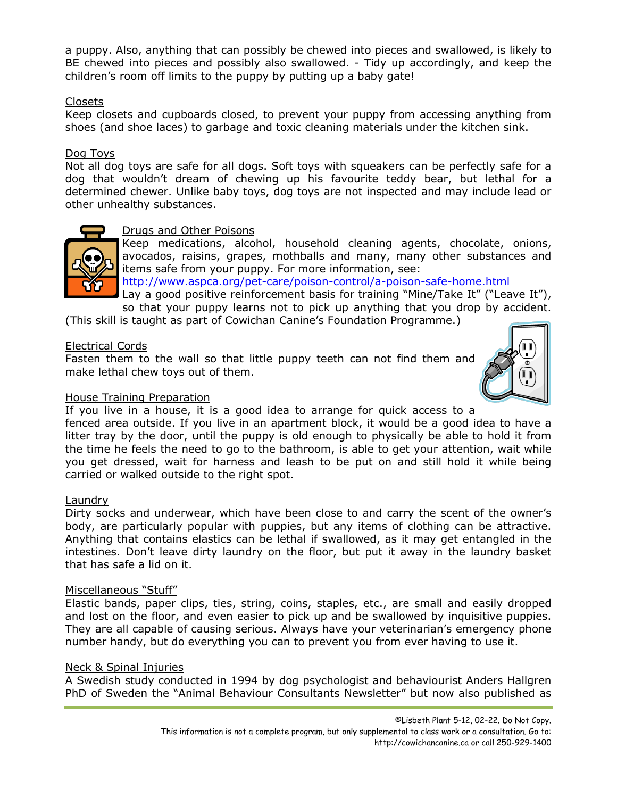a puppy. Also, anything that can possibly be chewed into pieces and swallowed, is likely to BE chewed into pieces and possibly also swallowed. - Tidy up accordingly, and keep the children's room off limits to the puppy by putting up a baby gate!

## Closets

Keep closets and cupboards closed, to prevent your puppy from accessing anything from shoes (and shoe laces) to garbage and toxic cleaning materials under the kitchen sink.

## Dog Toys

Not all dog toys are safe for all dogs. Soft toys with squeakers can be perfectly safe for a dog that wouldn't dream of chewing up his favourite teddy bear, but lethal for a determined chewer. Unlike baby toys, dog toys are not inspected and may include lead or other unhealthy substances.



## Drugs and Other Poisons

Keep medications, alcohol, household cleaning agents, chocolate, onions, avocados, raisins, grapes, mothballs and many, many other substances and items safe from your puppy. For more information, see:

<http://www.aspca.org/pet-care/poison-control/a-poison-safe-home.html>

Lay a good positive reinforcement basis for training "Mine/Take It" ("Leave It"), so that your puppy learns not to pick up anything that you drop by accident.

(This skill is taught as part of Cowichan Canine's Foundation Programme.)

## Electrical Cords

Fasten them to the wall so that little puppy teeth can not find them and make lethal chew toys out of them.



#### House Training Preparation

If you live in a house, it is a good idea to arrange for quick access to a

fenced area outside. If you live in an apartment block, it would be a good idea to have a litter tray by the door, until the puppy is old enough to physically be able to hold it from the time he feels the need to go to the bathroom, is able to get your attention, wait while you get dressed, wait for harness and leash to be put on and still hold it while being carried or walked outside to the right spot.

#### Laundry

Dirty socks and underwear, which have been close to and carry the scent of the owner's body, are particularly popular with puppies, but any items of clothing can be attractive. Anything that contains elastics can be lethal if swallowed, as it may get entangled in the intestines. Don't leave dirty laundry on the floor, but put it away in the laundry basket that has safe a lid on it.

#### Miscellaneous "Stuff"

Elastic bands, paper clips, ties, string, coins, staples, etc., are small and easily dropped and lost on the floor, and even easier to pick up and be swallowed by inquisitive puppies. They are all capable of causing serious. Always have your veterinarian's emergency phone number handy, but do everything you can to prevent you from ever having to use it.

# Neck & Spinal Injuries

A Swedish study conducted in 1994 by dog psychologist and behaviourist Anders Hallgren PhD of Sweden the "Animal Behaviour Consultants Newsletter" but now also published as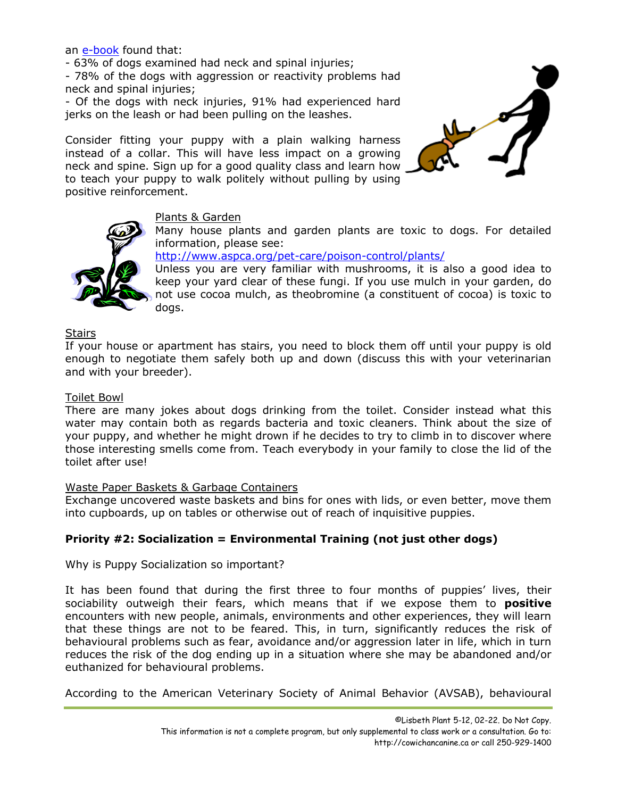an [e-book](https://www.bokus.com/bok/9789163382826/back-problems-in-dogs-underlying-causes-for-behavioral-problems/) found that:

- 63% of dogs examined had neck and spinal injuries;

- 78% of the dogs with aggression or reactivity problems had neck and spinal injuries;

- Of the dogs with neck injuries, 91% had experienced hard jerks on the leash or had been pulling on the leashes.

Consider fitting your puppy with a plain walking harness instead of a collar. This will have less impact on a growing neck and spine. Sign up for a good quality class and learn how to teach your puppy to walk politely without pulling by using positive reinforcement.





# Plants & Garden

Many house plants and garden plants are toxic to dogs. For detailed information, please see:

<http://www.aspca.org/pet-care/poison-control/plants/>

Unless you are very familiar with mushrooms, it is also a good idea to keep your yard clear of these fungi. If you use mulch in your garden, do not use cocoa mulch, as theobromine (a constituent of cocoa) is toxic to dogs.

# Stairs

If your house or apartment has stairs, you need to block them off until your puppy is old enough to negotiate them safely both up and down (discuss this with your veterinarian and with your breeder).

## Toilet Bowl

There are many jokes about dogs drinking from the toilet. Consider instead what this water may contain both as regards bacteria and toxic cleaners. Think about the size of your puppy, and whether he might drown if he decides to try to climb in to discover where those interesting smells come from. Teach everybody in your family to close the lid of the toilet after use!

# Waste Paper Baskets & Garbage Containers

Exchange uncovered waste baskets and bins for ones with lids, or even better, move them into cupboards, up on tables or otherwise out of reach of inquisitive puppies.

# **Priority #2: Socialization = Environmental Training (not just other dogs)**

Why is Puppy Socialization so important?

It has been found that during the first three to four months of puppies' lives, their sociability outweigh their fears, which means that if we expose them to **positive** encounters with new people, animals, environments and other experiences, they will learn that these things are not to be feared. This, in turn, significantly reduces the risk of behavioural problems such as fear, avoidance and/or aggression later in life, which in turn reduces the risk of the dog ending up in a situation where she may be abandoned and/or euthanized for behavioural problems.

According to the American Veterinary Society of Animal Behavior (AVSAB), behavioural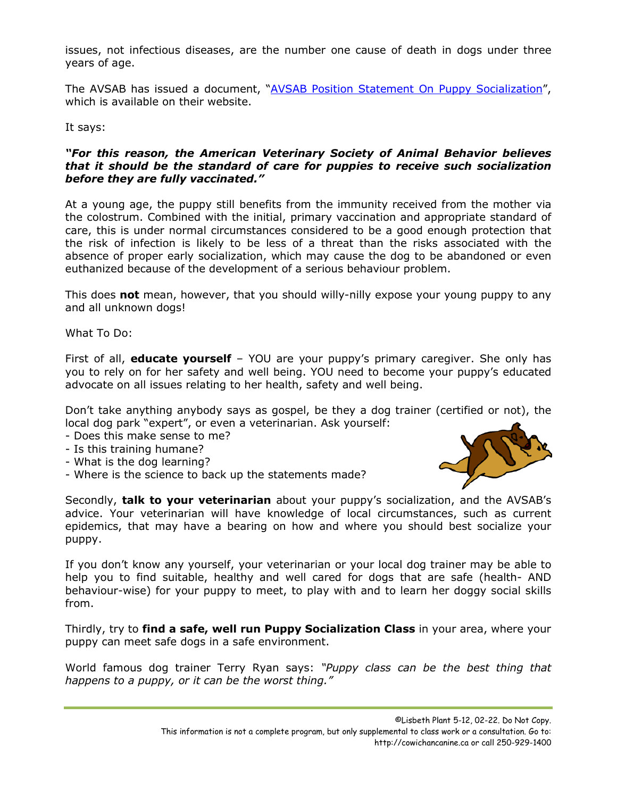issues, not infectious diseases, are the number one cause of death in dogs under three years of age.

The AVSAB has issued a document, ["AVSAB Position Statement On Puppy Socialization"](https://avsab.org/wp-content/uploads/2018/03/Puppy_Socialization_Position_Statement_Download_-_10-3-14.pdf), which is available on their website.

It says:

## *"For this reason, the American Veterinary Society of Animal Behavior believes that it should be the standard of care for puppies to receive such socialization before they are fully vaccinated."*

At a young age, the puppy still benefits from the immunity received from the mother via the colostrum. Combined with the initial, primary vaccination and appropriate standard of care, this is under normal circumstances considered to be a good enough protection that the risk of infection is likely to be less of a threat than the risks associated with the absence of proper early socialization, which may cause the dog to be abandoned or even euthanized because of the development of a serious behaviour problem.

This does **not** mean, however, that you should willy-nilly expose your young puppy to any and all unknown dogs!

What To Do:

First of all, **educate yourself** – YOU are your puppy's primary caregiver. She only has you to rely on for her safety and well being. YOU need to become your puppy's educated advocate on all issues relating to her health, safety and well being.

Don't take anything anybody says as gospel, be they a dog trainer (certified or not), the local dog park "expert", or even a veterinarian. Ask yourself:

- Does this make sense to me?
- Is this training humane?
- What is the dog learning?
- Where is the science to back up the statements made?



Secondly, **talk to your veterinarian** about your puppy's socialization, and the AVSAB's advice. Your veterinarian will have knowledge of local circumstances, such as current epidemics, that may have a bearing on how and where you should best socialize your puppy.

If you don't know any yourself, your veterinarian or your local dog trainer may be able to help you to find suitable, healthy and well cared for dogs that are safe (health- AND behaviour-wise) for your puppy to meet, to play with and to learn her doggy social skills from.

Thirdly, try to **find a safe, well run Puppy Socialization Class** in your area, where your puppy can meet safe dogs in a safe environment.

World famous dog trainer Terry Ryan says: *"Puppy class can be the best thing that happens to a puppy, or it can be the worst thing."*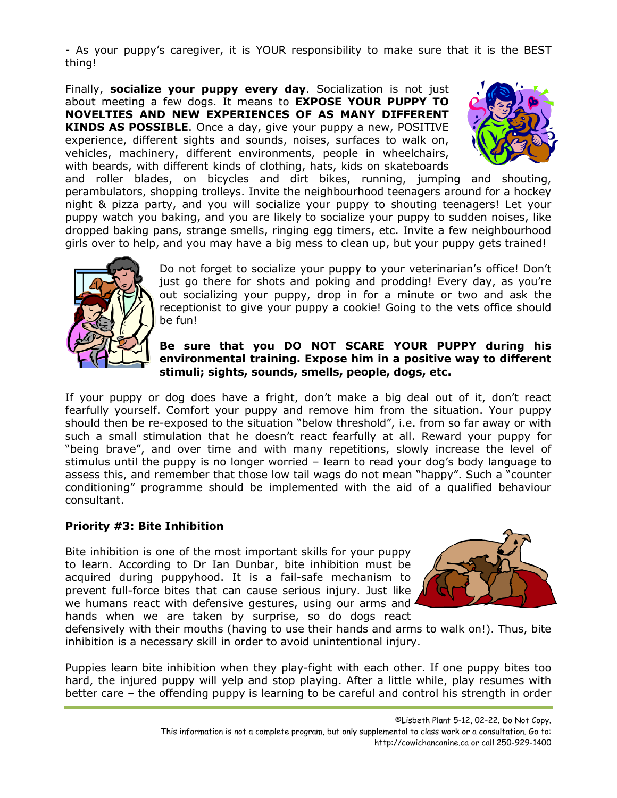- As your puppy's caregiver, it is YOUR responsibility to make sure that it is the BEST thing!

Finally, **socialize your puppy every day**. Socialization is not just about meeting a few dogs. It means to **EXPOSE YOUR PUPPY TO NOVELTIES AND NEW EXPERIENCES OF AS MANY DIFFERENT KINDS AS POSSIBLE**. Once a day, give your puppy a new, POSITIVE experience, different sights and sounds, noises, surfaces to walk on, vehicles, machinery, different environments, people in wheelchairs, with beards, with different kinds of clothing, hats, kids on skateboards



and roller blades, on bicycles and dirt bikes, running, jumping and shouting, perambulators, shopping trolleys. Invite the neighbourhood teenagers around for a hockey night & pizza party, and you will socialize your puppy to shouting teenagers! Let your puppy watch you baking, and you are likely to socialize your puppy to sudden noises, like dropped baking pans, strange smells, ringing egg timers, etc. Invite a few neighbourhood girls over to help, and you may have a big mess to clean up, but your puppy gets trained!



Do not forget to socialize your puppy to your veterinarian's office! Don't just go there for shots and poking and prodding! Every day, as you're out socializing your puppy, drop in for a minute or two and ask the receptionist to give your puppy a cookie! Going to the vets office should be fun!

# **Be sure that you DO NOT SCARE YOUR PUPPY during his environmental training. Expose him in a positive way to different stimuli; sights, sounds, smells, people, dogs, etc.**

If your puppy or dog does have a fright, don't make a big deal out of it, don't react fearfully yourself. Comfort your puppy and remove him from the situation. Your puppy should then be re-exposed to the situation "below threshold", i.e. from so far away or with such a small stimulation that he doesn't react fearfully at all. Reward your puppy for "being brave", and over time and with many repetitions, slowly increase the level of stimulus until the puppy is no longer worried – learn to read your dog's body language to assess this, and remember that those low tail wags do not mean "happy". Such a "counter conditioning" programme should be implemented with the aid of a qualified behaviour consultant.

# **Priority #3: Bite Inhibition**

Bite inhibition is one of the most important skills for your puppy to learn. According to Dr Ian Dunbar, bite inhibition must be acquired during puppyhood. It is a fail-safe mechanism to prevent full-force bites that can cause serious injury. Just like we humans react with defensive gestures, using our arms and hands when we are taken by surprise, so do dogs react



defensively with their mouths (having to use their hands and arms to walk on!). Thus, bite inhibition is a necessary skill in order to avoid unintentional injury.

Puppies learn bite inhibition when they play-fight with each other. If one puppy bites too hard, the injured puppy will yelp and stop playing. After a little while, play resumes with better care – the offending puppy is learning to be careful and control his strength in order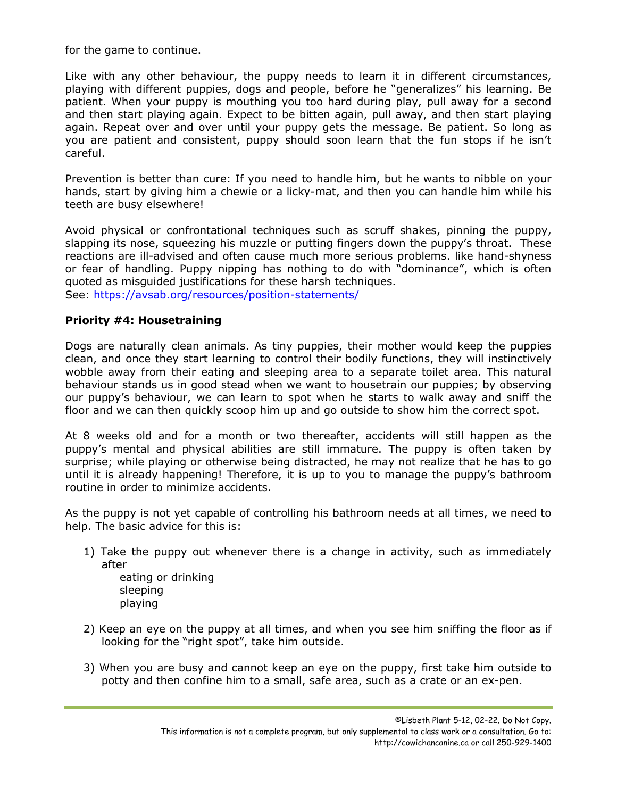for the game to continue.

Like with any other behaviour, the puppy needs to learn it in different circumstances, playing with different puppies, dogs and people, before he "generalizes" his learning. Be patient. When your puppy is mouthing you too hard during play, pull away for a second and then start playing again. Expect to be bitten again, pull away, and then start playing again. Repeat over and over until your puppy gets the message. Be patient. So long as you are patient and consistent, puppy should soon learn that the fun stops if he isn't careful.

Prevention is better than cure: If you need to handle him, but he wants to nibble on your hands, start by giving him a chewie or a licky-mat, and then you can handle him while his teeth are busy elsewhere!

Avoid physical or confrontational techniques such as scruff shakes, pinning the puppy, slapping its nose, squeezing his muzzle or putting fingers down the puppy's throat. These reactions are ill-advised and often cause much more serious problems. like hand-shyness or fear of handling. Puppy nipping has nothing to do with "dominance", which is often quoted as misguided justifications for these harsh techniques. See:<https://avsab.org/resources/position-statements/>

# **Priority #4: Housetraining**

Dogs are naturally clean animals. As tiny puppies, their mother would keep the puppies clean, and once they start learning to control their bodily functions, they will instinctively wobble away from their eating and sleeping area to a separate toilet area. This natural behaviour stands us in good stead when we want to housetrain our puppies; by observing our puppy's behaviour, we can learn to spot when he starts to walk away and sniff the floor and we can then quickly scoop him up and go outside to show him the correct spot.

At 8 weeks old and for a month or two thereafter, accidents will still happen as the puppy's mental and physical abilities are still immature. The puppy is often taken by surprise; while playing or otherwise being distracted, he may not realize that he has to go until it is already happening! Therefore, it is up to you to manage the puppy's bathroom routine in order to minimize accidents.

As the puppy is not yet capable of controlling his bathroom needs at all times, we need to help. The basic advice for this is:

1) Take the puppy out whenever there is a change in activity, such as immediately after

eating or drinking sleeping playing

- 2) Keep an eye on the puppy at all times, and when you see him sniffing the floor as if looking for the "right spot", take him outside.
- 3) When you are busy and cannot keep an eye on the puppy, first take him outside to potty and then confine him to a small, safe area, such as a crate or an ex-pen.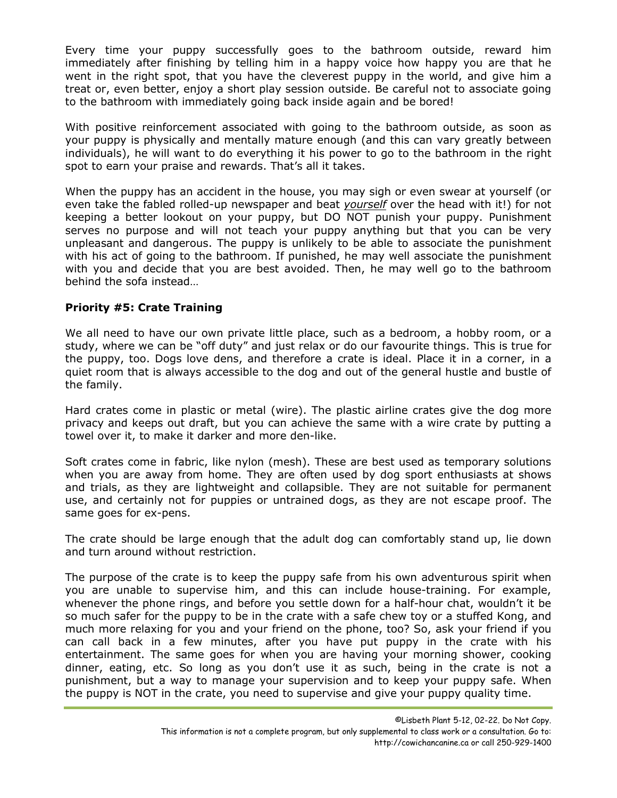Every time your puppy successfully goes to the bathroom outside, reward him immediately after finishing by telling him in a happy voice how happy you are that he went in the right spot, that you have the cleverest puppy in the world, and give him a treat or, even better, enjoy a short play session outside. Be careful not to associate going to the bathroom with immediately going back inside again and be bored!

With positive reinforcement associated with going to the bathroom outside, as soon as your puppy is physically and mentally mature enough (and this can vary greatly between individuals), he will want to do everything it his power to go to the bathroom in the right spot to earn your praise and rewards. That's all it takes.

When the puppy has an accident in the house, you may sigh or even swear at yourself (or even take the fabled rolled-up newspaper and beat *yourself* over the head with it!) for not keeping a better lookout on your puppy, but DO NOT punish your puppy. Punishment serves no purpose and will not teach your puppy anything but that you can be very unpleasant and dangerous. The puppy is unlikely to be able to associate the punishment with his act of going to the bathroom. If punished, he may well associate the punishment with you and decide that you are best avoided. Then, he may well go to the bathroom behind the sofa instead…

# **Priority #5: Crate Training**

We all need to have our own private little place, such as a bedroom, a hobby room, or a study, where we can be "off duty" and just relax or do our favourite things. This is true for the puppy, too. Dogs love dens, and therefore a crate is ideal. Place it in a corner, in a quiet room that is always accessible to the dog and out of the general hustle and bustle of the family.

Hard crates come in plastic or metal (wire). The plastic airline crates give the dog more privacy and keeps out draft, but you can achieve the same with a wire crate by putting a towel over it, to make it darker and more den-like.

Soft crates come in fabric, like nylon (mesh). These are best used as temporary solutions when you are away from home. They are often used by dog sport enthusiasts at shows and trials, as they are lightweight and collapsible. They are not suitable for permanent use, and certainly not for puppies or untrained dogs, as they are not escape proof. The same goes for ex-pens.

The crate should be large enough that the adult dog can comfortably stand up, lie down and turn around without restriction.

The purpose of the crate is to keep the puppy safe from his own adventurous spirit when you are unable to supervise him, and this can include house-training. For example, whenever the phone rings, and before you settle down for a half-hour chat, wouldn't it be so much safer for the puppy to be in the crate with a safe chew toy or a stuffed Kong, and much more relaxing for you and your friend on the phone, too? So, ask your friend if you can call back in a few minutes, after you have put puppy in the crate with his entertainment. The same goes for when you are having your morning shower, cooking dinner, eating, etc. So long as you don't use it as such, being in the crate is not a punishment, but a way to manage your supervision and to keep your puppy safe. When the puppy is NOT in the crate, you need to supervise and give your puppy quality time.